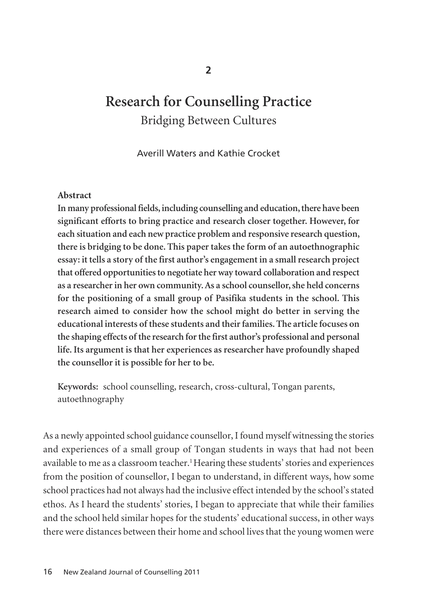# **Research for Counselling Practice**  Bridging Between Cultures

Averill Waters and Kathie Crocket

#### **Abstract**

**In many professional fields, including counselling and education, there have been significant efforts to bring practice and research closer together. However, for each situation and each new practice problem and responsive research question, there is bridging to be done. This paper takes the form of an autoethnographic essay: it tells a story of the first author's engagement in a small research project that offered opportunities to negotiate her way toward collaboration and respect as a researcher in her own community. As a school counsellor, she held concerns for the positioning of a small group of Pasifika students in the school. This research aimed to consider how the school might do better in serving the educational interests of these students and their families. The article focuses on the shaping effects of the research for the first author's professional and personal life. Its argument is that her experiences as researcher have profoundly shaped the counsellor it is possible for her to be.**

**Keywords:** school counselling, research, cross-cultural, Tongan parents, autoethnography

As a newly appointed school guidance counsellor, I found myself witnessing the stories and experiences of a small group of Tongan students in ways that had not been available to me as a classroom teacher.<sup>1</sup> Hearing these students' stories and experiences from the position of counsellor, I began to understand, in different ways, how some school practices had not always had the inclusive effect intended by the school's stated ethos. As I heard the students' stories, I began to appreciate that while their families and the school held similar hopes for the students' educational success, in other ways there were distances between their home and school lives that the young women were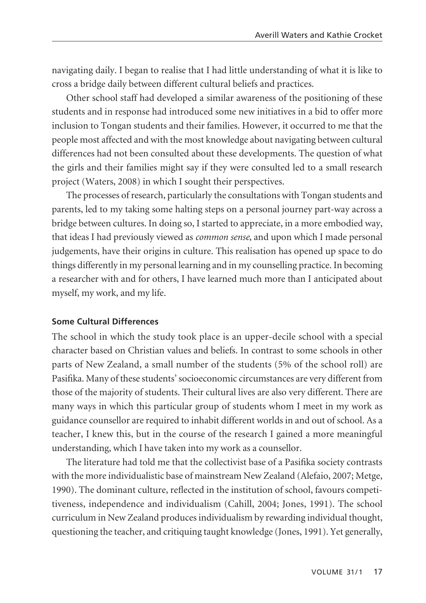navigating daily. I began to realise that I had little understanding of what it is like to cross a bridge daily between different cultural beliefs and practices.

Other school staff had developed a similar awareness of the positioning of these students and in response had introduced some new initiatives in a bid to offer more inclusion to Tongan students and their families. However, it occurred to me that the people most affected and with the most knowledge about navigating between cultural differences had not been consulted about these developments. The question of what the girls and their families might say if they were consulted led to a small research project (Waters, 2008) in which I sought their perspectives.

The processes of research, particularly the consultations with Tongan students and parents, led to my taking some halting steps on a personal journey part-way across a bridge between cultures. In doing so, I started to appreciate, in a more embodied way, that ideas I had previously viewed as *common sense*, and upon which I made personal judgements, have their origins in culture. This realisation has opened up space to do things differently in my personal learning and in my counselling practice. In becoming a researcher with and for others, I have learned much more than I anticipated about myself, my work, and my life.

#### **Some Cultural Differences**

The school in which the study took place is an upper-decile school with a special character based on Christian values and beliefs. In contrast to some schools in other parts of New Zealand, a small number of the students (5% of the school roll) are Pasifika. Many of these students' socioeconomic circumstances are very different from those of the majority of students. Their cultural lives are also very different. There are many ways in which this particular group of students whom I meet in my work as guidance counsellor are required to inhabit different worlds in and out of school. As a teacher, I knew this, but in the course of the research I gained a more meaningful understanding, which I have taken into my work as a counsellor.

The literature had told me that the collectivist base of a Pasifika society contrasts with the more individualistic base of mainstream New Zealand (Alefaio, 2007; Metge, 1990). The dominant culture, reflected in the institution of school, favours competi tiveness, independence and individualism (Cahill, 2004; Jones, 1991). The school curriculum in New Zealand produces individualism by rewarding individual thought, questioning the teacher, and critiquing taught knowledge (Jones, 1991). Yet generally,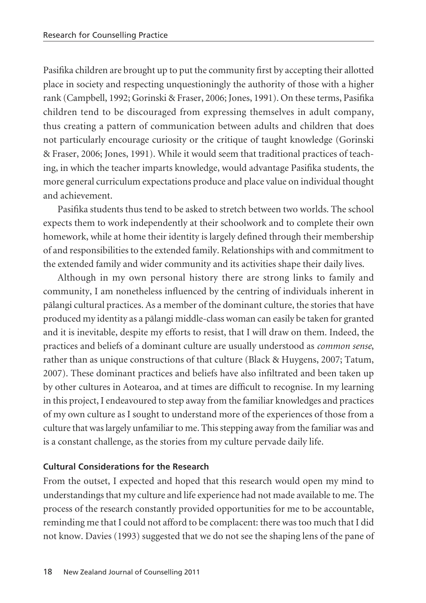Pasifika children are brought up to put the community first by accepting their allotted place in society and respecting unquestioningly the authority of those with a higher rank (Campbell, 1992; Gorinski & Fraser, 2006; Jones, 1991). On these terms, Pasifika children tend to be discouraged from expressing themselves in adult company, thus creating a pattern of communication between adults and children that does not particularly encourage curiosity or the critique of taught knowledge (Gorinski & Fraser, 2006; Jones, 1991). While it would seem that traditional practices of teach ing, in which the teacher imparts knowledge, would advantage Pasifika students, the more general curriculum expectations produce and place value on individual thought and achievement.

Pasifika students thus tend to be asked to stretch between two worlds. The school expects them to work independently at their schoolwork and to complete their own homework, while at home their identity is largely defined through their membership of and responsibilities to the extended family. Relationships with and commitment to the extended family and wider community and its activities shape their daily lives.

Although in my own personal history there are strong links to family and community, I am nonetheless influenced by the centring of individuals inherent in pälangi cultural practices. As a member of the dominant culture, the stories that have produced my identity as a pälangi middle-class woman can easily be taken for granted and it is inevitable, despite my efforts to resist, that I will draw on them. Indeed, the practices and beliefs of a dominant culture are usually understood as *common sense*, rather than as unique constructions of that culture (Black & Huygens, 2007; Tatum, 2007). These dominant practices and beliefs have also infiltrated and been taken up by other cultures in Aotearoa, and at times are difficult to recognise. In my learning in this project, I endeavoured to step away from the familiar knowledges and practices of my own culture as I sought to understand more of the experiences of those from a culture that was largely unfamiliar to me. This stepping away from the familiar was and is a constant challenge, as the stories from my culture pervade daily life.

## **Cultural Considerations for the Research**

From the outset, I expected and hoped that this research would open my mind to understandings that my culture and life experience had not made available to me. The process of the research constantly provided opportunities for me to be accountable, reminding me that I could not afford to be complacent: there was too much that I did not know. Davies (1993) suggested that we do not see the shaping lens of the pane of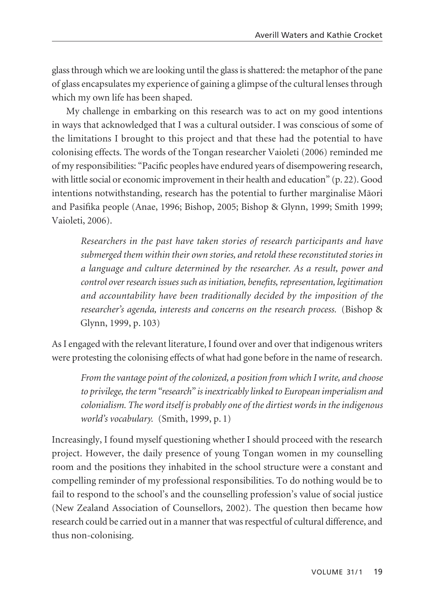glass through which we are looking until the glass is shattered: the metaphor of the pane of glass encapsulates my experience of gaining a glimpse of the cultural lenses through which my own life has been shaped.

My challenge in embarking on this research was to act on my good intentions in ways that acknowledged that I was a cultural outsider. I was conscious of some of the limitations I brought to this project and that these had the potential to have colonising effects. The words of the Tongan researcher Vaioleti (2006) reminded me of my responsibilities: "Pacific peoples have endured years of disempowering research, with little social or economic improvement in their health and education" (p. 22). Good intentions notwithstanding, research has the potential to further marginalise Mäori and Pasifika people (Anae, 1996; Bishop, 2005; Bishop & Glynn, 1999; Smith 1999; Vaioleti, 2006).

*Researchers in the past have taken stories of research participants and have submerged them within their own stories, and retold these reconstituted stories in a language and culture determined by the researcher. As a result, power and control over research issues such as initiation, benefits, representation, legitimation and accountability have been traditionally decided by the imposition of the researcher's agenda, interests and concerns on the research process.* (Bishop & Glynn, 1999, p. 103)

As I engaged with the relevant literature, I found over and over that indigenous writers were protesting the colonising effects of what had gone before in the name of research.

*From the vantage point of the colonized, a position from which I write, and choose to privilege, the term "research" is inextricably linked to European imperialism and colonialism. The word itself is probably one of the dirtiest words in the indigenous world's vocabulary.* (Smith, 1999, p. 1)

Increasingly, I found myself questioning whether I should proceed with the research project. However, the daily presence of young Tongan women in my counselling room and the positions they inhabited in the school structure were a constant and compelling reminder of my professional responsibilities. To do nothing would be to fail to respond to the school's and the counselling profession's value of social justice (New Zealand Association of Counsellors, 2002). The question then became how research could be carried out in a manner that was respectful of cultural difference, and thus non-colonising.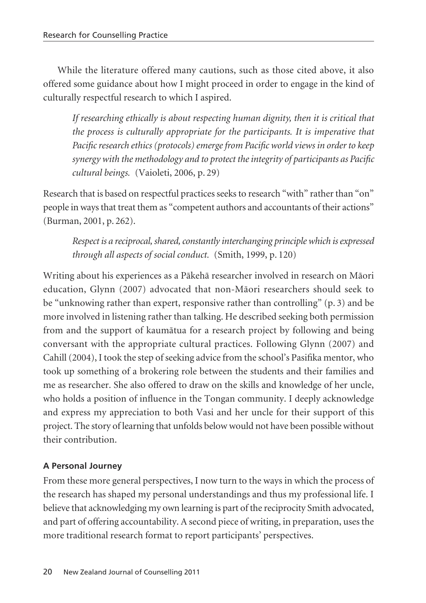While the literature offered many cautions, such as those cited above, it also offered some guidance about how I might proceed in order to engage in the kind of culturally respectful research to which I aspired.

*If researching ethically is about respecting human dignity, then it is critical that the process is culturally appropriate for the participants. It is imperative that Pacific research ethics (protocols) emerge from Pacific world views in order to keep synergy with the methodology and to protect the integrity of participants as Pacific cultural beings.* (Vaioleti, 2006, p. 29)

Research that is based on respectful practices seeks to research "with" rather than "on" people in ways that treat them as "competent authors and accountants of their actions" (Burman, 2001, p. 262).

*Respect is a reciprocal, shared, constantly interchanging principle which is expressed through all aspects of social conduct.* (Smith, 1999, p. 120)

Writing about his experiences as a Päkehä researcher involved in research on Mäori education, Glynn (2007) advocated that non-Mäori researchers should seek to be "unknowing rather than expert, responsive rather than controlling" (p. 3) and be more involved in listening rather than talking. He described seeking both permission from and the support of kaumätua for a research project by following and being conversant with the appropriate cultural practices. Following Glynn (2007) and Cahill (2004), I took the step of seeking advice from the school's Pasifika mentor, who took up something of a brokering role between the students and their families and me as researcher. She also offered to draw on the skills and knowledge of her uncle, who holds a position of influence in the Tongan community. I deeply acknowledge and express my appreciation to both Vasi and her uncle for their support of this project. The story of learning that unfolds below would not have been possible without their contribution.

## **A Personal Journey**

From these more general perspectives, I now turn to the ways in which the process of the research has shaped my personal understandings and thus my professional life. I believe that acknowledging my own learning is part of the reciprocity Smith advocated, and part of offering accountability. A second piece of writing, in preparation, uses the more traditional research format to report participants' perspectives.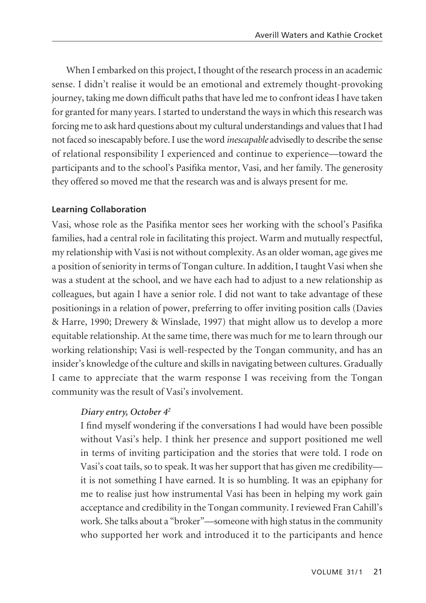When I embarked on this project, I thought of the research process in an academic sense. I didn't realise it would be an emotional and extremely thought-provoking journey, taking me down difficult paths that have led me to confront ideas I have taken for granted for many years. I started to understand the ways in which this research was forcing me to ask hard questions about my cultural understandings and values that I had not faced so inescapably before. I use the word *inescapable* advisedly to describe the sense of relational responsibility I experienced and continue to experience—toward the participants and to the school's Pasifika mentor, Vasi, and her family. The generosity they offered so moved me that the research was and is always present for me.

#### **Learning Collaboration**

Vasi, whose role as the Pasifika mentor sees her working with the school's Pasifika families, had a central role in facilitating this project. Warm and mutually respectful, my relationship with Vasi is not without complexity. As an older woman, age gives me a position of seniority in terms of Tongan culture. In addition, I taught Vasi when she was a student at the school, and we have each had to adjust to a new relationship as colleagues, but again I have a senior role. I did not want to take advantage of these positionings in a relation of power, preferring to offer inviting position calls (Davies & Harre, 1990; Drewery & Winslade, 1997) that might allow us to develop a more equitable relationship. At the same time, there was much for me to learn through our working relationship; Vasi is well-respected by the Tongan community, and has an insider's knowledge of the culture and skills in navigating between cultures. Gradually I came to appreciate that the warm response I was receiving from the Tongan community was the result of Vasi's involvement.

### *Diary entry, October 42*

I find myself wondering if the conversations I had would have been possible without Vasi's help. I think her presence and support positioned me well in terms of inviting participation and the stories that were told. I rode on Vasi's coat tails, so to speak. It was her support that has given me credibility it is not something I have earned. It is so humbling. It was an epiphany for me to realise just how instrumental Vasi has been in helping my work gain acceptance and credibility in the Tongan community. I reviewed Fran Cahill's work. She talks about a "broker"—someone with high status in the community who supported her work and introduced it to the participants and hence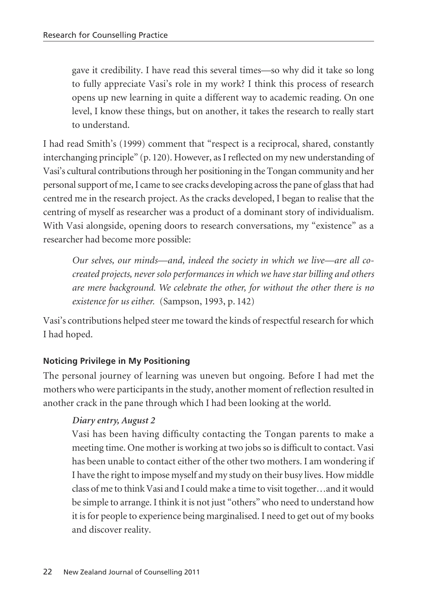gave it credibility. I have read this several times—so why did it take so long to fully appreciate Vasi's role in my work? I think this process of research opens up new learning in quite a different way to academic reading. On one level, I know these things, but on another, it takes the research to really start to understand.

I had read Smith's (1999) comment that "respect is a reciprocal, shared, constantly interchanging principle" (p. 120). However, as I reflected on my new understanding of Vasi's cultural contributions through her positioning in the Tongan community and her personal support of me, I came to see cracks developing across the pane of glass that had centred me in the research project. As the cracks developed, I began to realise that the centring of myself as researcher was a product of a dominant story of individu alism. With Vasi alongside, opening doors to research conversations, my "existence" as a researcher had become more possible:

*Our selves, our minds—and, indeed the society in which we live—are all cocreated projects, never solo performances in which we have star billing and others are mere background. We celebrate the other, for without the other there is no existence for us either.* (Sampson, 1993, p. 142)

Vasi's contributions helped steer me toward the kinds of respectful research for which I had hoped.

## **Noticing Privilege in My Positioning**

The personal journey of learning was uneven but ongoing. Before I had met the mothers who were participants in the study, another moment of reflection resulted in another crack in the pane through which I had been looking at the world.

## *Diary entry, August 2*

Vasi has been having difficulty contacting the Tongan parents to make a meeting time. One mother is working at two jobs so is difficult to contact. Vasi has been unable to contact either of the other two mothers. I am wondering if I have the right to impose myself and my study on their busy lives. How middle class of me to think Vasi and I could make a time to visit together…and it would be simple to arrange. I think it is not just "others" who need to understand how it is for people to experience being marginalised. I need to get out of my books and discover reality.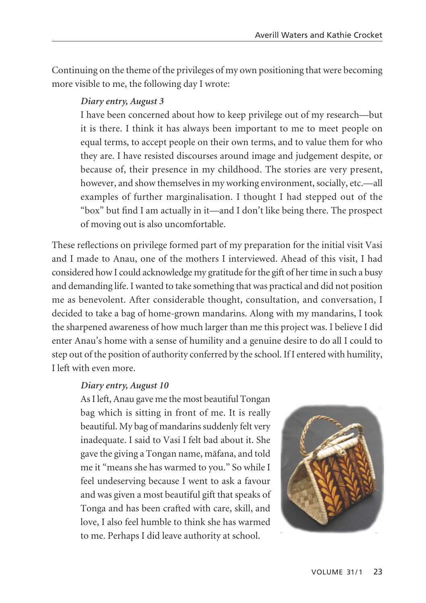Continuing on the theme of the privileges of my own positioning that were becoming more visible to me, the following day I wrote:

#### *Diary entry, August 3*

I have been concerned about how to keep privilege out of my research—but it is there. I think it has always been important to me to meet people on equal terms, to accept people on their own terms, and to value them for who they are. I have resisted discourses around image and judgement despite, or because of, their presence in my childhood. The stories are very present, however, and show themselves in my working environment, socially, etc.—all examples of further marginalisation. I thought I had stepped out of the "box" but find I am actually in it—and I don't like being there. The prospect of moving out is also uncomfortable.

These reflections on privilege formed part of my preparation for the initial visit Vasi and I made to Anau, one of the mothers I interviewed. Ahead of this visit, I had considered how I could acknowledge my gratitude for the gift of her time in such a busy and demanding life. I wanted to take something that was practical and did not position me as benevolent. After considerable thought, consultation, and conversation, I decided to take a bag of home-grown mandarins. Along with my mandarins, I took the sharpened awareness of how much larger than me this project was. I believe I did enter Anau's home with a sense of humility and a genuine desire to do all I could to step out of the position of authority conferred by the school. If I entered with humility, I left with even more.

#### *Diary entry, August 10*

As I left, Anau gave me the most beautiful Tongan bag which is sitting in front of me. It is really beautiful. My bag of mandarins suddenly felt very inadequate. I said to Vasi I felt bad about it. She gave the giving a Tongan name, mäfana, and told me it "means she has warmed to you." So while I feel undeserving because I went to ask a favour and was given a most beautiful gift that speaks of Tonga and has been crafted with care, skill, and love, I also feel humble to think she has warmed to me. Perhaps I did leave authority at school.

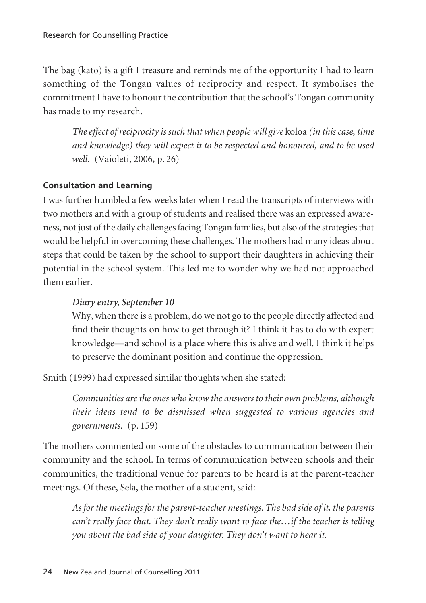The bag (kato) is a gift I treasure and reminds me of the opportunity I had to learn something of the Tongan values of reciprocity and respect. It symbolises the commitment I have to honour the contribution that the school's Tongan community has made to my research.

*The effect of reciprocity is such that when people will give* koloa *(in this case, time and knowledge) they will expect it to be respected and honoured, and to be used well.* (Vaioleti, 2006, p. 26)

## **Consultation and Learning**

I was further humbled a few weeks later when I read the transcripts of interviews with two mothers and with a group of students and realised there was an expressed awareness, not just of the daily challenges facing Tongan families, but also of the strategies that would be helpful in overcoming these challenges. The mothers had many ideas about steps that could be taken by the school to support their daughters in achieving their potential in the school system. This led me to wonder why we had not approached them earlier.

## *Diary entry, September 10*

Why, when there is a problem, do we not go to the people directly affected and find their thoughts on how to get through it? I think it has to do with expert knowledge—and school is a place where this is alive and well. I think it helps to preserve the dominant position and continue the oppression.

Smith (1999) had expressed similar thoughts when she stated:

*Communities are the ones who know the answers to their own problems, although their ideas tend to be dismissed when suggested to various agencies and governments.* (p. 159)

The mothers commented on some of the obstacles to communication between their community and the school. In terms of communication between schools and their communities, the traditional venue for parents to be heard is at the parent-teacher meetings. Of these, Sela, the mother of a student, said:

*As for the meetings for the parent-teacher meetings. The bad side of it, the parents can't really face that. They don't really want to face the…if the teacher is telling you about the bad side of your daughter. They don't want to hear it.*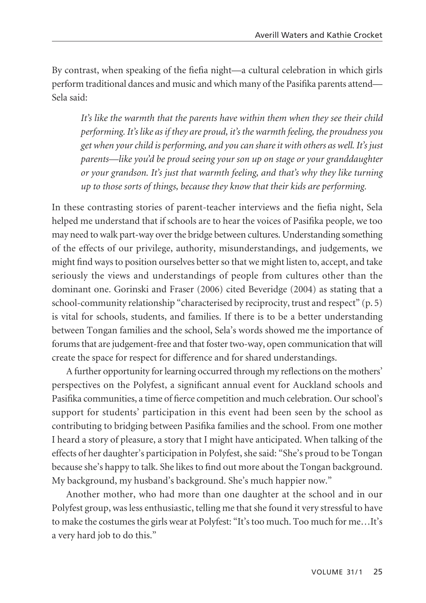By contrast, when speaking of the fiefia night—a cultural celebration in which girls perform traditional dances and music and which many of the Pasifika parents attend— Sela said:

*It's like the warmth that the parents have within them when they see their child performing. It's like as if they are proud, it's the warmth feeling, the proudness you get when your child is performing, and you can share it with others as well. It's just parents—like you'd be proud seeing your son up on stage or your granddaughter or your grandson. It's just that warmth feeling, and that's why they like turning up to those sorts of things, because they know that their kids are performing.*

In these contrasting stories of parent-teacher interviews and the fiefia night, Sela helped me understand that if schools are to hear the voices of Pasifika people, we too may need to walk part-way over the bridge between cultures. Understanding something of the effects of our privilege, authority, misunderstandings, and judgements, we might find ways to position ourselves better so that we might listen to, accept, and take seriously the views and understandings of people from cultures other than the dominant one. Gorinski and Fraser (2006) cited Beveridge (2004) as stating that a school-community relationship "characterised by reciprocity, trust and respect" (p. 5) is vital for schools, students, and families. If there is to be a better understanding between Tongan families and the school, Sela's words showed me the importance of forums that are judgement-free and that foster two-way, open communication that will create the space for respect for difference and for shared understandings.

A further opportunity for learning occurred through my reflections on the mothers' perspectives on the Polyfest, a significant annual event for Auckland schools and Pasifika communities, a time of fierce competition and much celebration. Our school's support for students' participation in this event had been seen by the school as contributing to bridging between Pasifika families and the school. From one mother I heard a story of pleasure, a story that I might have anticipated. When talking of the effects of her daughter's participation in Polyfest, she said: "She's proud to be Tongan because she's happy to talk. She likes to find out more about the Tongan background. My background, my husband's background. She's much happier now."

Another mother, who had more than one daughter at the school and in our Polyfest group, was less enthusiastic, telling me that she found it very stressful to have to make the costumes the girls wear at Polyfest: "It's too much. Too much for me…It's a very hard job to do this."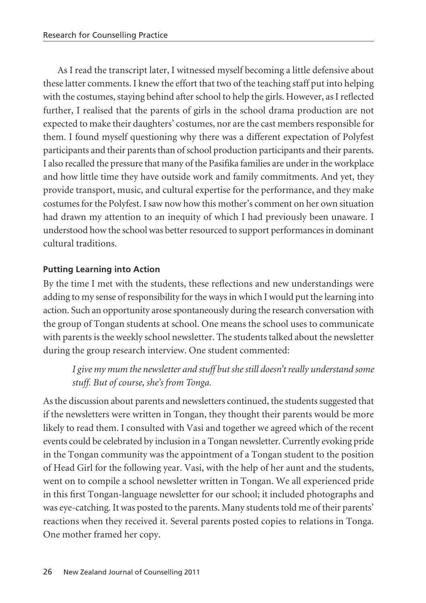As I read the transcript later, I witnessed myself becoming a little defensive about these latter comments. I knew the effort that two of the teaching staff put into helping with the costumes, staying behind after school to help the girls. However, as I reflected further, I realised that the parents of girls in the school drama production are not expected to make their daughters' costumes, nor are the cast members responsible for them. I found myself questioning why there was a different expectation of Polyfest participants and their parents than of school production participants and their parents. I also recalled the pressure that many of the Pasifika families are under in the workplace and how little time they have outside work and family commitments. And yet, they provide transport, music, and cultural expertise for the performance, and they make costumes for the Polyfest. I saw now how this mother's comment on her own situation had drawn my attention to an inequity of which I had previously been unaware. I understood how the school was better resourced to support performances in dominant cultural traditions.

## **Putting Learning into Action**

By the time I met with the students, these reflections and new understandings were adding to my sense of responsibility for the ways in which I would put the learning into action. Such an opportunity arose spontaneously during the research conversation with the group of Tongan students at school. One means the school uses to communicate with parents is the weekly school newsletter. The students talked about the newsletter during the group research interview. One student commented:

## *I give my mum the newsletter and stuff but she still doesn't really understand some stuff. But of course, she's from Tonga.*

As the discussion about parents and newsletters continued, the students suggested that if the newsletters were written in Tongan, they thought their parents would be more likely to read them. I consulted with Vasi and together we agreed which of the recent events could be celebrated by inclusion in a Tongan newsletter. Currently evoking pride in the Tongan community was the appointment of a Tongan student to the position of Head Girl for the following year. Vasi, with the help of her aunt and the students, went on to compile a school newsletter written in Tongan. We all experienced pride in this first Tongan-language newsletter for our school; it included photographs and was eye-catching. It was posted to the parents. Many students told me of their parents' reactions when they received it. Several parents posted copies to relations in Tonga. One mother framed her copy.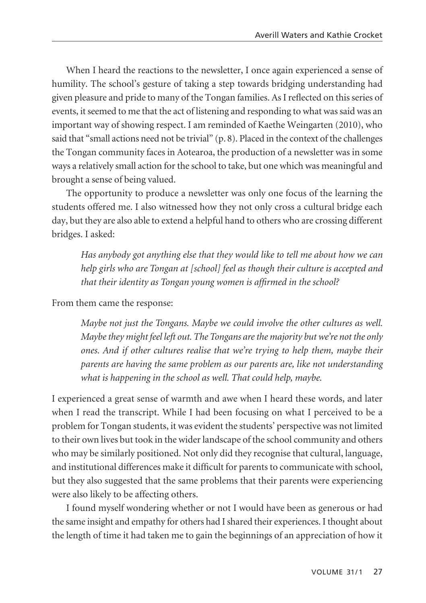When I heard the reactions to the newsletter, I once again experienced a sense of humility. The school's gesture of taking a step towards bridging understanding had given pleasure and pride to many of the Tongan families. As I reflected on this series of events, it seemed to me that the act of listening and responding to what was said was an important way of showing respect. I am reminded of Kaethe Weingarten (2010), who said that "small actions need not be trivial"  $(p, 8)$ . Placed in the context of the challenges the Tongan community faces in Aotearoa, the production of a newsletter was in some ways a relatively small action for the school to take, but one which was meaningful and brought a sense of being valued.

The opportunity to produce a newsletter was only one focus of the learning the students offered me. I also witnessed how they not only cross a cultural bridge each day, but they are also able to extend a helpful hand to others who are crossing different bridges. I asked:

*Has anybody got anything else that they would like to tell me about how we can help girls who are Tongan at [school] feel as though their culture is accepted and that their identity as Tongan young women is affirmed in the school?*

From them came the response:

*Maybe not just the Tongans. Maybe we could involve the other cultures as well. Maybe they might feel left out. The Tongans are the majority but we're not the only ones. And if other cultures realise that we're trying to help them, maybe their parents are having the same problem as our parents are, like not understanding what is happening in the school as well. That could help, maybe.* 

I experienced a great sense of warmth and awe when I heard these words, and later when I read the transcript. While I had been focusing on what I perceived to be a problem for Tongan students, it was evident the students' perspective was not limited to their own lives but took in the wider landscape of the school community and others who may be similarly positioned. Not only did they recognise that cultural, language, and institutional differences make it difficult for parents to communicate with school, but they also suggested that the same problems that their parents were experiencing were also likely to be affecting others.

I found myself wondering whether or not I would have been as generous or had the same insight and empathy for others had I shared their experiences. I thought about the length of time it had taken me to gain the beginnings of an appreciation of how it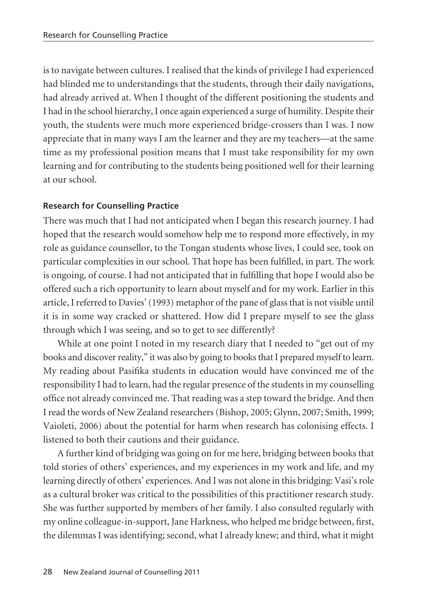is to navigate between cultures. I realised that the kinds of privilege I had experienced had blinded me to understandings that the students, through their daily navigations, had already arrived at. When I thought of the different positioning the students and I had in the school hierarchy, I once again experienced a surge of humility. Despite their youth, the students were much more experienced bridge-crossers than I was. I now appreciate that in many ways I am the learner and they are my teachers—at the same time as my professional position means that I must take responsibility for my own learning and for contributing to the students being positioned well for their learning at our school.

#### **Research for Counselling Practice**

There was much that I had not anticipated when I began this research journey. I had hoped that the research would somehow help me to respond more effectively, in my role as guidance counsellor, to the Tongan students whose lives, I could see, took on particular complexities in our school. That hope has been fulfilled, in part. The work is ongoing, of course. I had not anticipated that in fulfilling that hope I would also be offered such a rich opportunity to learn about myself and for my work. Earlier in this article, I referred to Davies' (1993) metaphor of the pane of glass that is not visible until it is in some way cracked or shattered. How did I prepare myself to see the glass through which I was seeing, and so to get to see differently?

While at one point I noted in my research diary that I needed to "get out of my books and discover reality," it was also by going to books that I prepared myself to learn. My reading about Pasifika students in education would have convinced me of the responsibility I had to learn, had the regular presence of the students in my counselling office not already convinced me. That reading was a step toward the bridge. And then I read the words of New Zealand researchers (Bishop, 2005; Glynn, 2007; Smith, 1999; Vaioleti, 2006) about the potential for harm when research has colonising effects. I listened to both their cautions and their guidance.

A further kind of bridging was going on for me here, bridging between books that told stories of others' experiences, and my experiences in my work and life, and my learning directly of others' experiences. And I was not alone in this bridging: Vasi's role as a cultural broker was critical to the possibilities of this practitioner research study. She was further supported by members of her family. I also consulted regularly with my online colleague-in-support, Jane Harkness, who helped me bridge between, first, the dilemmas I was identifying; second, what I already knew; and third, what it might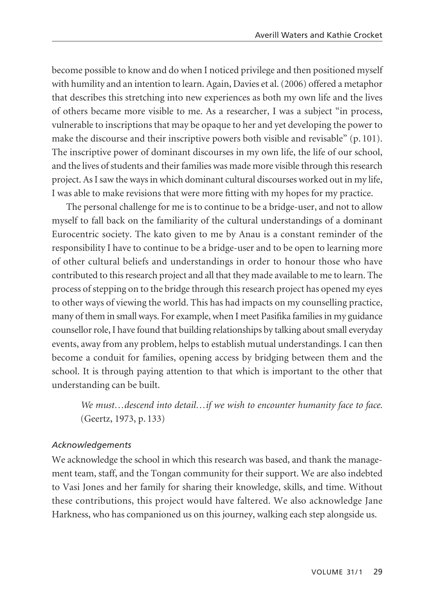become possible to know and do when I noticed privilege and then positioned myself with humility and an intention to learn. Again, Davies et al. (2006) offered a metaphor that describes this stretching into new experiences as both my own life and the lives of others became more visible to me. As a researcher, I was a subject "in process, vulnerable to inscriptions that may be opaque to her and yet developing the power to make the discourse and their inscriptive powers both visible and revisable" (p. 101). The inscriptive power of dominant discourses in my own life, the life of our school, and the lives of students and their families was made more visible through this research project. As I saw the ways in which dominant cultural discourses worked out in my life, I was able to make revisions that were more fitting with my hopes for my practice.

The personal challenge for me is to continue to be a bridge-user, and not to allow myself to fall back on the familiarity of the cultural understandings of a dominant Eurocentric society. The kato given to me by Anau is a constant reminder of the responsibility I have to continue to be a bridge-user and to be open to learning more of other cultural beliefs and understandings in order to honour those who have contributed to this research project and all that they made available to me to learn. The process of stepping on to the bridge through this research project has opened my eyes to other ways of viewing the world. This has had impacts on my counselling practice, many of them in small ways. For example, when I meet Pasifika families in my guidance counsellor role, I have found that building relationships by talking about small everyday events, away from any problem, helps to establish mutual understandings. I can then become a conduit for families, opening access by bridging between them and the school. It is through paying attention to that which is important to the other that understanding can be built.

*We must…descend into detail…if we wish to encounter humanity face to face.* (Geertz, 1973, p. 133)

### *Acknowledgements*

We acknowledge the school in which this research was based, and thank the management team, staff, and the Tongan community for their support. We are also indebted to Vasi Jones and her family for sharing their knowledge, skills, and time. Without these contributions, this project would have faltered. We also acknowledge Jane Harkness, who has companioned us on this journey, walking each step alongside us.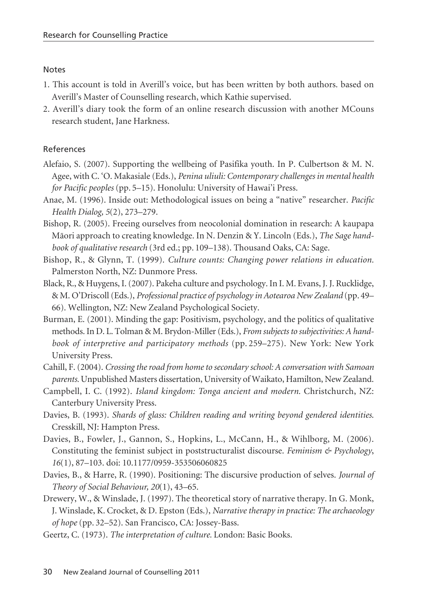#### **Notes**

- 1. This account is told in Averill's voice, but has been written by both authors. based on Averill's Master of Counselling research, which Kathie supervised.
- 2. Averill's diary took the form of an online research discussion with another MCouns research student, Jane Harkness.

#### References

- Alefaio, S. (2007). Supporting the wellbeing of Pasifika youth. In P. Culbertson & M. N. Agee, with C. 'O. Makasiale (Eds.), *Penina uliuli: Contemporary challenges in mental health for Pacific peoples* (pp. 5–15). Honolulu: University of Hawai'i Press.
- Anae, M. (1996). Inside out: Methodological issues on being a "native" researcher. *Pacific Health Dialog, 5*(2), 273–279.
- Bishop, R. (2005). Freeing ourselves from neocolonial domination in research: A kaupapa Mäori approach to creating knowledge. In N. Denzin & Y. Lincoln (Eds.), *The Sage handbook of qualitative research* (3rd ed.; pp. 109–138). Thousand Oaks, CA: Sage.
- Bishop, R., & Glynn, T. (1999). *Culture counts: Changing power relations in education.* Palmerston North, NZ: Dunmore Press.
- Black, R., & Huygens, I. (2007). Pakeha culture and psychology. In I. M. Evans, J. J. Rucklidge, & M. O'Driscoll (Eds.), *Professional practice of psychology in Aotearoa New Zealand* (pp. 49– 66). Wellington, NZ: New Zealand Psychological Society.
- Burman, E. (2001). Minding the gap: Positivism, psychology, and the politics of qualitative methods. In D. L. Tolman & M. Brydon-Miller (Eds.), *From subjects to subjectivities: A handbook of interpretive and participatory methods* (pp. 259–275). New York: New York University Press.
- Cahill, F. (2004). *Crossing the road from home to secondary school: A conversation with Samoan parents.* Unpublished Masters dissertation, University of Waikato, Hamilton, New Zealand.
- Campbell, I. C. (1992). *Island kingdom: Tonga ancient and modern.* Christchurch, NZ: Canterbury University Press.
- Davies, B. (1993). *Shards of glass: Children reading and writing beyond gendered identities*. Cresskill, NJ: Hampton Press.
- Davies, B., Fowler, J., Gannon, S., Hopkins, L., McCann, H., & Wihlborg, M. (2006). Constituting the feminist subject in poststructuralist discourse. *Feminism & Psychology*, *16*(1), 87–103. doi: 10.1177/0959-353506060825
- Davies, B., & Harre, R. (1990). Positioning: The discursive production of selves. *Journal of Theory of Social Behaviour, 20*(1), 43–65.
- Drewery, W., & Winslade, J. (1997). The theoretical story of narrative therapy. In G. Monk, J. Winslade, K. Crocket, & D. Epston (Eds.), *Narrative therapy in practice: The archaeology of hope* (pp. 32–52). San Francisco, CA: Jossey-Bass.
- Geertz, C. (1973). *The interpretation of culture.* London: Basic Books.